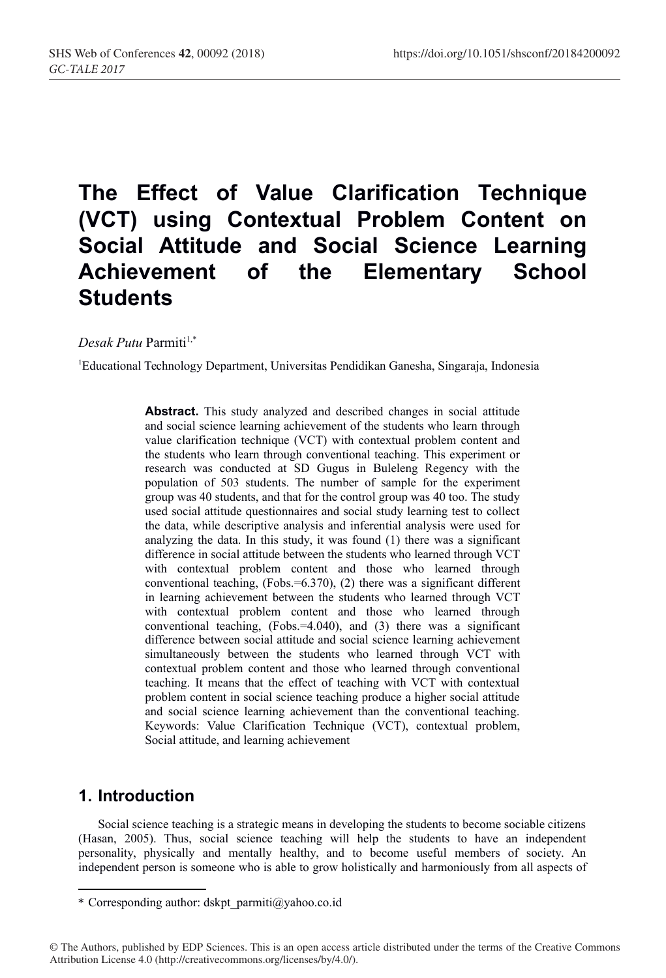# **The Effect of Value Clarification Technique (VCT) using Contextual Problem Content on Social Attitude and Social Science Learning Achievement of the Elementary School Students**

*Desak Putu* Parmiti<sup>1,\*</sup>

1 Educational Technology Department, Universitas Pendidikan Ganesha, Singaraja, Indonesia

**Abstract.** This study analyzed and described changes in social attitude and social science learning achievement of the students who learn through value clarification technique (VCT) with contextual problem content and the students who learn through conventional teaching. This experiment or research was conducted at SD Gugus in Buleleng Regency with the population of 503 students. The number of sample for the experiment group was 40 students, and that for the control group was 40 too. The study used social attitude questionnaires and social study learning test to collect the data, while descriptive analysis and inferential analysis were used for analyzing the data. In this study, it was found (1) there was a significant difference in social attitude between the students who learned through VCT with contextual problem content and those who learned through conventional teaching, (Fobs.=6.370), (2) there was a significant different in learning achievement between the students who learned through VCT with contextual problem content and those who learned through conventional teaching, (Fobs.=4.040), and (3) there was a significant difference between social attitude and social science learning achievement simultaneously between the students who learned through VCT with contextual problem content and those who learned through conventional teaching. It means that the effect of teaching with VCT with contextual problem content in social science teaching produce a higher social attitude and social science learning achievement than the conventional teaching. Keywords: Value Clarification Technique (VCT), contextual problem, Social attitude, and learning achievement

## **1. Introduction**

Social science teaching is a strategic means in developing the students to become sociable citizens (Hasan, 2005). Thus, social science teaching will help the students to have an independent personality, physically and mentally healthy, and to become useful members of society. An independent person is someone who is able to grow holistically and harmoniously from all aspects of

<sup>\*</sup> Corresponding author: dskpt\_parmiti@yahoo.co.id

<sup>©</sup> The Authors, published by EDP Sciences. This is an open access article distributed under the terms of the Creative Commons Attribution License 4.0 (http://creativecommons.org/licenses/by/4.0/).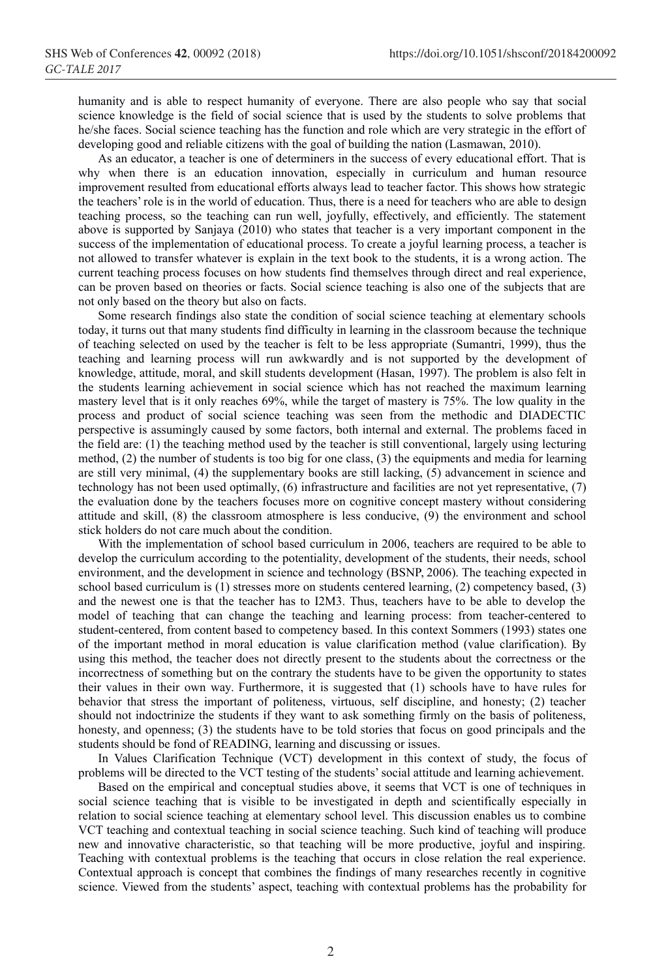humanity and is able to respect humanity of everyone. There are also people who say that social science knowledge is the field of social science that is used by the students to solve problems that he/she faces. Social science teaching has the function and role which are very strategic in the effort of developing good and reliable citizens with the goal of building the nation (Lasmawan, 2010).

As an educator, a teacher is one of determiners in the success of every educational effort. That is why when there is an education innovation, especially in curriculum and human resource improvement resulted from educational efforts always lead to teacher factor. This shows how strategic the teachers' role is in the world of education. Thus, there is a need for teachers who are able to design teaching process, so the teaching can run well, joyfully, effectively, and efficiently. The statement above is supported by Sanjaya (2010) who states that teacher is a very important component in the success of the implementation of educational process. To create a joyful learning process, a teacher is not allowed to transfer whatever is explain in the text book to the students, it is a wrong action. The current teaching process focuses on how students find themselves through direct and real experience, can be proven based on theories or facts. Social science teaching is also one of the subjects that are not only based on the theory but also on facts.

Some research findings also state the condition of social science teaching at elementary schools today, it turns out that many students find difficulty in learning in the classroom because the technique of teaching selected on used by the teacher is felt to be less appropriate (Sumantri, 1999), thus the teaching and learning process will run awkwardly and is not supported by the development of knowledge, attitude, moral, and skill students development (Hasan, 1997). The problem is also felt in the students learning achievement in social science which has not reached the maximum learning mastery level that is it only reaches 69%, while the target of mastery is 75%. The low quality in the process and product of social science teaching was seen from the methodic and DIADECTIC perspective is assumingly caused by some factors, both internal and external. The problems faced in the field are: (1) the teaching method used by the teacher is still conventional, largely using lecturing method, (2) the number of students is too big for one class, (3) the equipments and media for learning are still very minimal, (4) the supplementary books are still lacking, (5) advancement in science and technology has not been used optimally, (6) infrastructure and facilities are not yet representative, (7) the evaluation done by the teachers focuses more on cognitive concept mastery without considering attitude and skill, (8) the classroom atmosphere is less conducive, (9) the environment and school stick holders do not care much about the condition.

With the implementation of school based curriculum in 2006, teachers are required to be able to develop the curriculum according to the potentiality, development of the students, their needs, school environment, and the development in science and technology (BSNP, 2006). The teaching expected in school based curriculum is (1) stresses more on students centered learning, (2) competency based, (3) and the newest one is that the teacher has to I2M3. Thus, teachers have to be able to develop the model of teaching that can change the teaching and learning process: from teacher-centered to student-centered, from content based to competency based. In this context Sommers (1993) states one of the important method in moral education is value clarification method (value clarification). By using this method, the teacher does not directly present to the students about the correctness or the incorrectness of something but on the contrary the students have to be given the opportunity to states their values in their own way. Furthermore, it is suggested that (1) schools have to have rules for behavior that stress the important of politeness, virtuous, self discipline, and honesty; (2) teacher should not indoctrinize the students if they want to ask something firmly on the basis of politeness, honesty, and openness; (3) the students have to be told stories that focus on good principals and the students should be fond of READING, learning and discussing or issues.

In Values Clarification Technique (VCT) development in this context of study, the focus of problems will be directed to the VCT testing of the students' social attitude and learning achievement.

Based on the empirical and conceptual studies above, it seems that VCT is one of techniques in social science teaching that is visible to be investigated in depth and scientifically especially in relation to social science teaching at elementary school level. This discussion enables us to combine VCT teaching and contextual teaching in social science teaching. Such kind of teaching will produce new and innovative characteristic, so that teaching will be more productive, joyful and inspiring. Teaching with contextual problems is the teaching that occurs in close relation the real experience. Contextual approach is concept that combines the findings of many researches recently in cognitive science. Viewed from the students' aspect, teaching with contextual problems has the probability for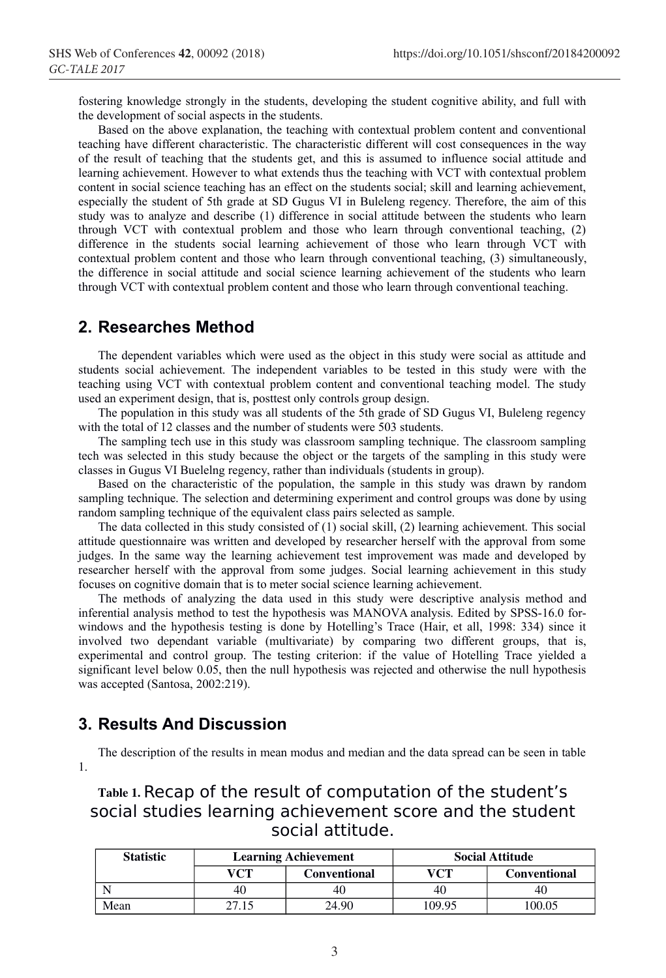fostering knowledge strongly in the students, developing the student cognitive ability, and full with the development of social aspects in the students.

Based on the above explanation, the teaching with contextual problem content and conventional teaching have different characteristic. The characteristic different will cost consequences in the way of the result of teaching that the students get, and this is assumed to influence social attitude and learning achievement. However to what extends thus the teaching with VCT with contextual problem content in social science teaching has an effect on the students social; skill and learning achievement, especially the student of 5th grade at SD Gugus VI in Buleleng regency. Therefore, the aim of this study was to analyze and describe (1) difference in social attitude between the students who learn through VCT with contextual problem and those who learn through conventional teaching, (2) difference in the students social learning achievement of those who learn through VCT with contextual problem content and those who learn through conventional teaching, (3) simultaneously, the difference in social attitude and social science learning achievement of the students who learn through VCT with contextual problem content and those who learn through conventional teaching.

#### **2. Researches Method**

The dependent variables which were used as the object in this study were social as attitude and students social achievement. The independent variables to be tested in this study were with the teaching using VCT with contextual problem content and conventional teaching model. The study used an experiment design, that is, posttest only controls group design.

The population in this study was all students of the 5th grade of SD Gugus VI, Buleleng regency with the total of 12 classes and the number of students were 503 students.

The sampling tech use in this study was classroom sampling technique. The classroom sampling tech was selected in this study because the object or the targets of the sampling in this study were classes in Gugus VI Buelelng regency, rather than individuals (students in group).

Based on the characteristic of the population, the sample in this study was drawn by random sampling technique. The selection and determining experiment and control groups was done by using random sampling technique of the equivalent class pairs selected as sample.

The data collected in this study consisted of (1) social skill, (2) learning achievement. This social attitude questionnaire was written and developed by researcher herself with the approval from some judges. In the same way the learning achievement test improvement was made and developed by researcher herself with the approval from some judges. Social learning achievement in this study focuses on cognitive domain that is to meter social science learning achievement.

The methods of analyzing the data used in this study were descriptive analysis method and inferential analysis method to test the hypothesis was MANOVA analysis. Edited by SPSS-16.0 forwindows and the hypothesis testing is done by Hotelling's Trace (Hair, et all, 1998: 334) since it involved two dependant variable (multivariate) by comparing two different groups, that is, experimental and control group. The testing criterion: if the value of Hotelling Trace yielded a significant level below 0.05, then the null hypothesis was rejected and otherwise the null hypothesis was accepted (Santosa, 2002:219).

#### **3. Results And Discussion**

The description of the results in mean modus and median and the data spread can be seen in table 1.

# Table 1. Recap of the result of computation of the student's social studies learning achievement score and the student social attitude.

| <b>Statistic</b> | <b>Learning Achievement</b> |                     | <b>Social Attitude</b> |              |
|------------------|-----------------------------|---------------------|------------------------|--------------|
|                  | VCT                         | <b>Conventional</b> | VCT                    | Conventional |
|                  | 40                          | 40                  | 40                     | 40           |
| Mean             | 27.15                       | 24.90               | 109.95                 | 100.05       |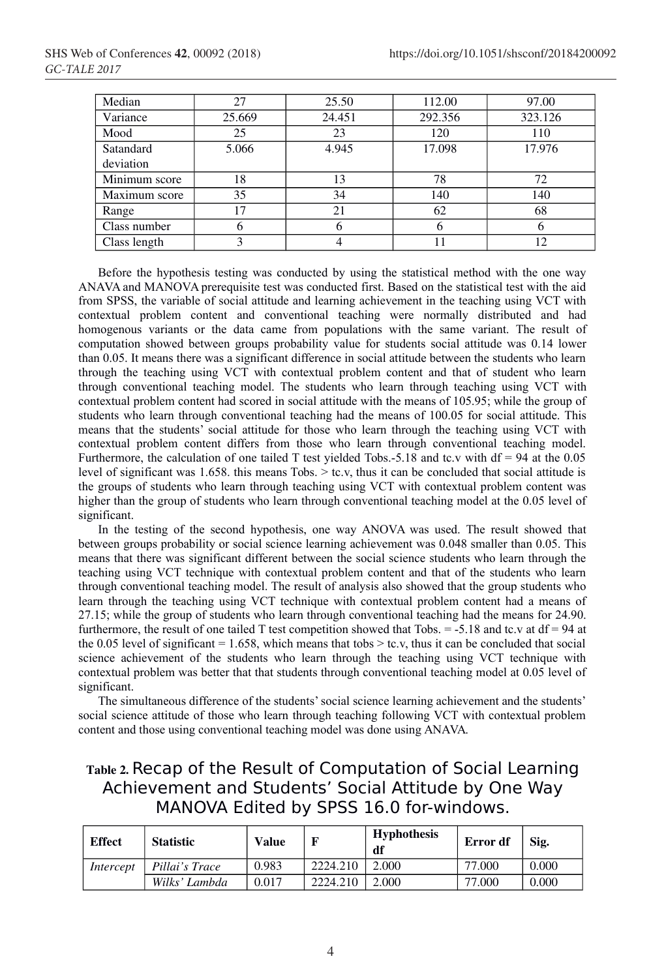| Median        | 27     | 25.50  | 112.00  | 97.00   |
|---------------|--------|--------|---------|---------|
| Variance      | 25.669 | 24.451 | 292.356 | 323.126 |
| Mood          | 25     | 23     | 120     | 110     |
| Satandard     | 5.066  | 4.945  | 17.098  | 17.976  |
| deviation     |        |        |         |         |
| Minimum score | 18     | 13     | 78      | 72      |
| Maximum score | 35     | 34     | 140     | 140     |
| Range         | 17     | 21     | 62      | 68      |
| Class number  |        |        |         | o       |
| Class length  | 3      |        | 11      | 12      |
|               |        |        |         |         |

Before the hypothesis testing was conducted by using the statistical method with the one way ANAVA and MANOVA prerequisite test was conducted first. Based on the statistical test with the aid from SPSS, the variable of social attitude and learning achievement in the teaching using VCT with contextual problem content and conventional teaching were normally distributed and had homogenous variants or the data came from populations with the same variant. The result of computation showed between groups probability value for students social attitude was 0.14 lower than 0.05. It means there was a significant difference in social attitude between the students who learn through the teaching using VCT with contextual problem content and that of student who learn through conventional teaching model. The students who learn through teaching using VCT with contextual problem content had scored in social attitude with the means of 105.95; while the group of students who learn through conventional teaching had the means of 100.05 for social attitude. This means that the students' social attitude for those who learn through the teaching using VCT with contextual problem content differs from those who learn through conventional teaching model. Furthermore, the calculation of one tailed T test yielded Tobs.-5.18 and tc.v with  $df = 94$  at the 0.05 level of significant was 1.658, this means Tobs.  $>$  tc.v, thus it can be concluded that social attitude is the groups of students who learn through teaching using VCT with contextual problem content was higher than the group of students who learn through conventional teaching model at the 0.05 level of significant.

In the testing of the second hypothesis, one way ANOVA was used. The result showed that between groups probability or social science learning achievement was 0.048 smaller than 0.05. This means that there was significant different between the social science students who learn through the teaching using VCT technique with contextual problem content and that of the students who learn through conventional teaching model. The result of analysis also showed that the group students who learn through the teaching using VCT technique with contextual problem content had a means of 27.15; while the group of students who learn through conventional teaching had the means for 24.90. furthermore, the result of one tailed T test competition showed that Tobs.  $= -5.18$  and tc.v at df  $= 94$  at the 0.05 level of significant = 1.658, which means that tobs  $>$  tc.v, thus it can be concluded that social science achievement of the students who learn through the teaching using VCT technique with contextual problem was better that that students through conventional teaching model at 0.05 level of significant.

The simultaneous difference of the students' social science learning achievement and the students' social science attitude of those who learn through teaching following VCT with contextual problem content and those using conventional teaching model was done using ANAVA.

# Table 2. Recap of the Result of Computation of Social Learning Achievement and Students' Social Attitude by One Way MANOVA Edited by SPSS 16.0 for-windows.

| <b>Effect</b> | <b>Statistic</b> | <b>Value</b> |          | <b>Hyphothesis</b><br>df | Error df | Sig.  |
|---------------|------------------|--------------|----------|--------------------------|----------|-------|
| Intercept     | Pillai's Trace   | 0.983        | 2224.210 | 2.000                    | 77.000   | 0.000 |
|               | Wilks' Lambda    | 0.017        | 2224.210 | 2.000                    | 77.000   | 0.000 |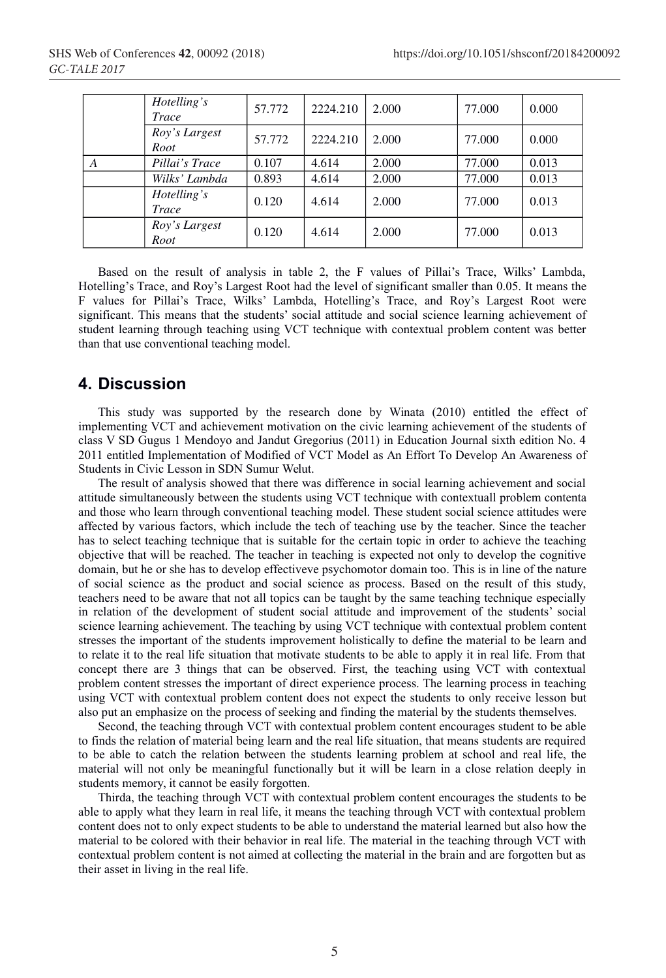|   | Hotelling's<br>Trace        | 57.772 | 2224.210 | 2.000 | 77.000 | 0.000 |
|---|-----------------------------|--------|----------|-------|--------|-------|
|   | Roy's Largest<br>Root       | 57.772 | 2224.210 | 2.000 | 77.000 | 0.000 |
| A | Pillai's Trace              | 0.107  | 4.614    | 2.000 | 77.000 | 0.013 |
|   | Wilks' Lambda               | 0.893  | 4.614    | 2.000 | 77.000 | 0.013 |
|   | Hotelling's<br><b>Trace</b> | 0.120  | 4.614    | 2.000 | 77,000 | 0.013 |
|   | Roy's Largest<br>Root       | 0.120  | 4.614    | 2.000 | 77.000 | 0.013 |

Based on the result of analysis in table 2, the F values of Pillai's Trace, Wilks' Lambda, Hotelling's Trace, and Roy's Largest Root had the level of significant smaller than 0.05. It means the F values for Pillai's Trace, Wilks' Lambda, Hotelling's Trace, and Roy's Largest Root were significant. This means that the students' social attitude and social science learning achievement of student learning through teaching using VCT technique with contextual problem content was better than that use conventional teaching model.

## **4. Discussion**

This study was supported by the research done by Winata (2010) entitled the effect of implementing VCT and achievement motivation on the civic learning achievement of the students of class V SD Gugus 1 Mendoyo and Jandut Gregorius (2011) in Education Journal sixth edition No. 4 2011 entitled Implementation of Modified of VCT Model as An Effort To Develop An Awareness of Students in Civic Lesson in SDN Sumur Welut.

The result of analysis showed that there was difference in social learning achievement and social attitude simultaneously between the students using VCT technique with contextuall problem contenta and those who learn through conventional teaching model. These student social science attitudes were affected by various factors, which include the tech of teaching use by the teacher. Since the teacher has to select teaching technique that is suitable for the certain topic in order to achieve the teaching objective that will be reached. The teacher in teaching is expected not only to develop the cognitive domain, but he or she has to develop effectiveve psychomotor domain too. This is in line of the nature of social science as the product and social science as process. Based on the result of this study, teachers need to be aware that not all topics can be taught by the same teaching technique especially in relation of the development of student social attitude and improvement of the students' social science learning achievement. The teaching by using VCT technique with contextual problem content stresses the important of the students improvement holistically to define the material to be learn and to relate it to the real life situation that motivate students to be able to apply it in real life. From that concept there are 3 things that can be observed. First, the teaching using VCT with contextual problem content stresses the important of direct experience process. The learning process in teaching using VCT with contextual problem content does not expect the students to only receive lesson but also put an emphasize on the process of seeking and finding the material by the students themselves.

Second, the teaching through VCT with contextual problem content encourages student to be able to finds the relation of material being learn and the real life situation, that means students are required to be able to catch the relation between the students learning problem at school and real life, the material will not only be meaningful functionally but it will be learn in a close relation deeply in students memory, it cannot be easily forgotten.

Thirda, the teaching through VCT with contextual problem content encourages the students to be able to apply what they learn in real life, it means the teaching through VCT with contextual problem content does not to only expect students to be able to understand the material learned but also how the material to be colored with their behavior in real life. The material in the teaching through VCT with contextual problem content is not aimed at collecting the material in the brain and are forgotten but as their asset in living in the real life.